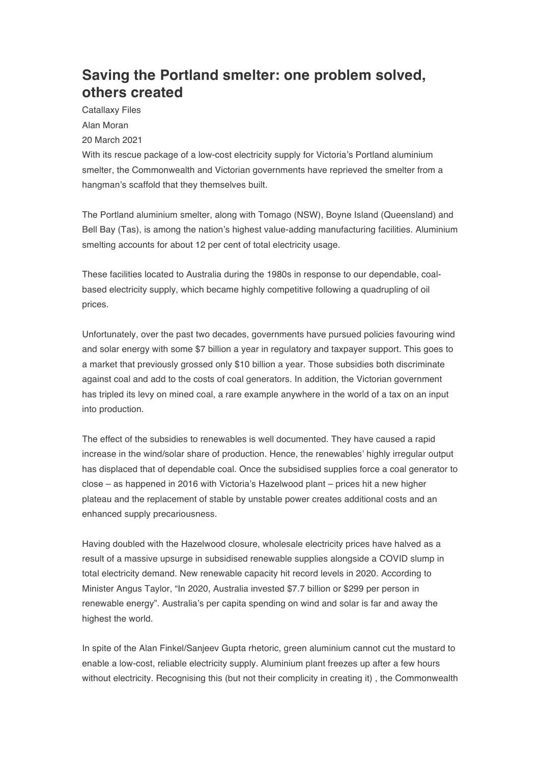## **Saving the Portland smelter: one problem solved, others created**

Catallaxy Files Alan Moran 20 March 2021

With its rescue package of a low-cost electricity supply for Victoria's Portland aluminium smelter, the Commonwealth and Victorian governments have reprieved the smelter from a hangman's scaffold that they themselves built.

The Portland aluminium smelter, along with Tomago (NSW), Boyne Island (Queensland) and Bell Bay (Tas), is among the nation's highest value-adding manufacturing facilities. Aluminium smelting accounts for about 12 per cent of total electricity usage.

These facilities located to Australia during the 1980s in response to our dependable, coalbased electricity supply, which became highly competitive following a quadrupling of oil prices.

Unfortunately, over the past two decades, governments have pursued policies favouring wind and solar energy with some \$7 billion a year in regulatory and taxpayer support. This goes to a market that previously grossed only \$10 billion a year. Those subsidies both discriminate against coal and add to the costs of coal generators. In addition, the Victorian government has tripled its levy on mined coal, a rare example anywhere in the world of a tax on an input into production.

The effect of the subsidies to renewables is well documented. They have caused a rapid increase in the wind/solar share of production. Hence, the renewables' highly irregular output has displaced that of dependable coal. Once the subsidised supplies force a coal generator to close – as happened in 2016 with Victoria's Hazelwood plant – prices hit a new higher plateau and the replacement of stable by unstable power creates additional costs and an enhanced supply precariousness.

Having doubled with the Hazelwood closure, wholesale electricity prices have halved as a result of a massive upsurge in subsidised renewable supplies alongside a COVID slump in total electricity demand. New renewable capacity hit record levels in 2020. According to Minister Angus Taylor, "In 2020, Australia invested \$7.7 billion or \$299 per person in renewable energy". Australia's per capita spending on wind and solar is far and away the highest the world.

In spite of the Alan Finkel/Sanjeev Gupta rhetoric, green aluminium cannot cut the mustard to enable a low-cost, reliable electricity supply. Aluminium plant freezes up after a few hours without electricity. Recognising this (but not their complicity in creating it) , the Commonwealth